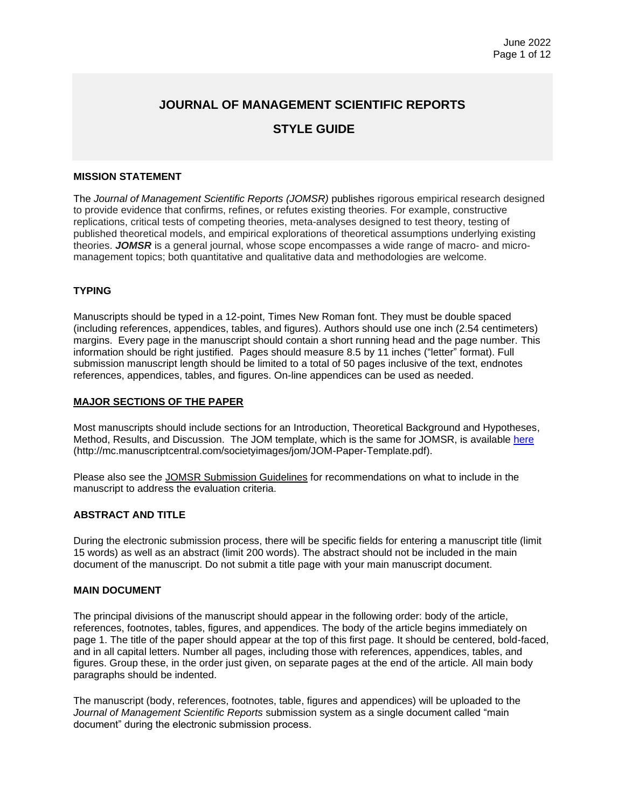## **JOURNAL OF MANAGEMENT SCIENTIFIC REPORTS**

## **STYLE GUIDE**

## **MISSION STATEMENT**

The *Journal of Management Scientific Reports (JOMSR)* publishes rigorous empirical research designed to provide evidence that confirms, refines, or refutes existing theories. For example, constructive replications, critical tests of competing theories, meta-analyses designed to test theory, testing of published theoretical models, and empirical explorations of theoretical assumptions underlying existing theories. *JOMSR* is a general journal, whose scope encompasses a wide range of macro- and micromanagement topics; both quantitative and qualitative data and methodologies are welcome.

## **TYPING**

Manuscripts should be typed in a 12-point, Times New Roman font. They must be double spaced (including references, appendices, tables, and figures). Authors should use one inch (2.54 centimeters) margins. Every page in the manuscript should contain a short running head and the page number. This information should be right justified. Pages should measure 8.5 by 11 inches ("letter" format). Full submission manuscript length should be limited to a total of 50 pages inclusive of the text, endnotes references, appendices, tables, and figures. On-line appendices can be used as needed.

### **MAJOR SECTIONS OF THE PAPER**

Most manuscripts should include sections for an Introduction, Theoretical Background and Hypotheses, Method, Results, and Discussion. The JOM template, which is the same for JOMSR, is available [here](http://mc.manuscriptcentral.com/societyimages/jom/JOM-Paper-Template.pdf) (http://mc.manuscriptcentral.com/societyimages/jom/JOM-Paper-Template.pdf).

Please also see the JOMSR Submission Guidelines for recommendations on what to include in the manuscript to address the evaluation criteria.

### **ABSTRACT AND TITLE**

During the electronic submission process, there will be specific fields for entering a manuscript title (limit 15 words) as well as an abstract (limit 200 words). The abstract should not be included in the main document of the manuscript. Do not submit a title page with your main manuscript document.

### **MAIN DOCUMENT**

The principal divisions of the manuscript should appear in the following order: body of the article, references, footnotes, tables, figures, and appendices. The body of the article begins immediately on page 1. The title of the paper should appear at the top of this first page. It should be centered, bold-faced, and in all capital letters. Number all pages, including those with references, appendices, tables, and figures. Group these, in the order just given, on separate pages at the end of the article. All main body paragraphs should be indented.

The manuscript (body, references, footnotes, table, figures and appendices) will be uploaded to the *Journal of Management Scientific Reports* submission system as a single document called "main document" during the electronic submission process.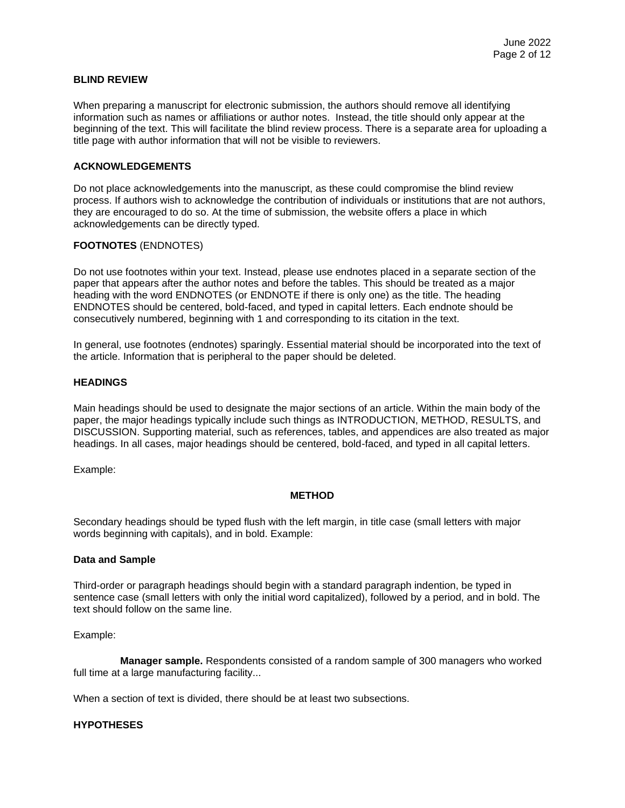## **BLIND REVIEW**

When preparing a manuscript for electronic submission, the authors should remove all identifying information such as names or affiliations or author notes. Instead, the title should only appear at the beginning of the text. This will facilitate the blind review process. There is a separate area for uploading a title page with author information that will not be visible to reviewers.

#### **ACKNOWLEDGEMENTS**

Do not place acknowledgements into the manuscript, as these could compromise the blind review process. If authors wish to acknowledge the contribution of individuals or institutions that are not authors, they are encouraged to do so. At the time of submission, the website offers a place in which acknowledgements can be directly typed.

#### **FOOTNOTES** (ENDNOTES)

Do not use footnotes within your text. Instead, please use endnotes placed in a separate section of the paper that appears after the author notes and before the tables. This should be treated as a major heading with the word ENDNOTES (or ENDNOTE if there is only one) as the title. The heading ENDNOTES should be centered, bold-faced, and typed in capital letters. Each endnote should be consecutively numbered, beginning with 1 and corresponding to its citation in the text.

In general, use footnotes (endnotes) sparingly. Essential material should be incorporated into the text of the article. Information that is peripheral to the paper should be deleted.

#### **HEADINGS**

Main headings should be used to designate the major sections of an article. Within the main body of the paper, the major headings typically include such things as INTRODUCTION, METHOD, RESULTS, and DISCUSSION. Supporting material, such as references, tables, and appendices are also treated as major headings. In all cases, major headings should be centered, bold-faced, and typed in all capital letters.

Example:

#### **METHOD**

Secondary headings should be typed flush with the left margin, in title case (small letters with major words beginning with capitals), and in bold. Example:

#### **Data and Sample**

Third-order or paragraph headings should begin with a standard paragraph indention, be typed in sentence case (small letters with only the initial word capitalized), followed by a period, and in bold. The text should follow on the same line.

Example:

**Manager sample.** Respondents consisted of a random sample of 300 managers who worked full time at a large manufacturing facility...

When a section of text is divided, there should be at least two subsections.

### **HYPOTHESES**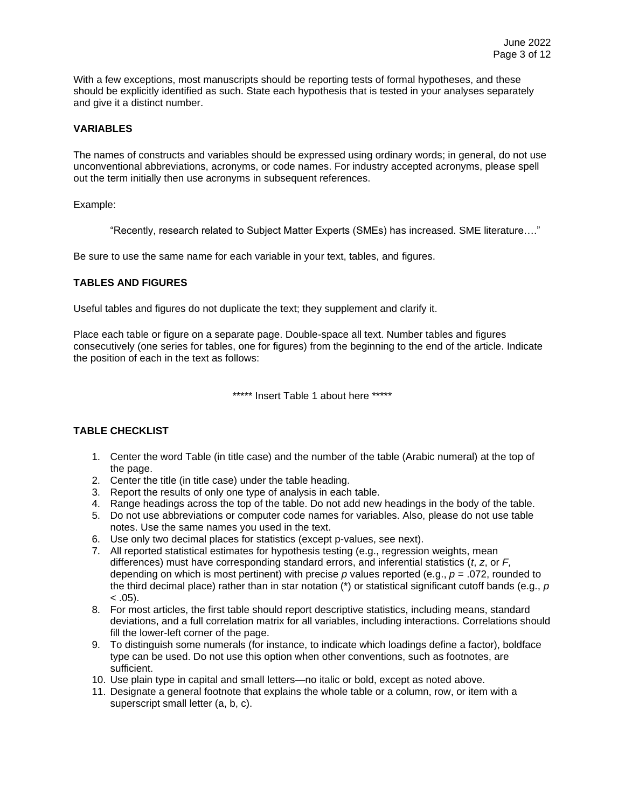With a few exceptions, most manuscripts should be reporting tests of formal hypotheses, and these should be explicitly identified as such. State each hypothesis that is tested in your analyses separately and give it a distinct number.

## **VARIABLES**

The names of constructs and variables should be expressed using ordinary words; in general, do not use unconventional abbreviations, acronyms, or code names. For industry accepted acronyms, please spell out the term initially then use acronyms in subsequent references.

Example:

"Recently, research related to Subject Matter Experts (SMEs) has increased. SME literature…."

Be sure to use the same name for each variable in your text, tables, and figures.

## **TABLES AND FIGURES**

Useful tables and figures do not duplicate the text; they supplement and clarify it.

Place each table or figure on a separate page. Double-space all text. Number tables and figures consecutively (one series for tables, one for figures) from the beginning to the end of the article. Indicate the position of each in the text as follows:

\*\*\*\*\* Insert Table 1 about here \*\*\*\*\*

## **TABLE CHECKLIST**

- 1. Center the word Table (in title case) and the number of the table (Arabic numeral) at the top of the page.
- 2. Center the title (in title case) under the table heading.
- 3. Report the results of only one type of analysis in each table.
- 4. Range headings across the top of the table. Do not add new headings in the body of the table.
- 5. Do not use abbreviations or computer code names for variables. Also, please do not use table notes. Use the same names you used in the text.
- 6. Use only two decimal places for statistics (except p-values, see next).
- 7. All reported statistical estimates for hypothesis testing (e.g., regression weights, mean differences) must have corresponding standard errors, and inferential statistics (*t*, *z*, or *F,*  depending on which is most pertinent) with precise *p* values reported (e.g., *p* = .072, rounded to the third decimal place) rather than in star notation (\*) or statistical significant cutoff bands (e.g., *p*  $< .05$ ).
- 8. For most articles, the first table should report descriptive statistics, including means, standard deviations, and a full correlation matrix for all variables, including interactions. Correlations should fill the lower-left corner of the page.
- 9. To distinguish some numerals (for instance, to indicate which loadings define a factor), boldface type can be used. Do not use this option when other conventions, such as footnotes, are sufficient.
- 10. Use plain type in capital and small letters—no italic or bold, except as noted above.
- 11. Designate a general footnote that explains the whole table or a column, row, or item with a superscript small letter (a, b, c).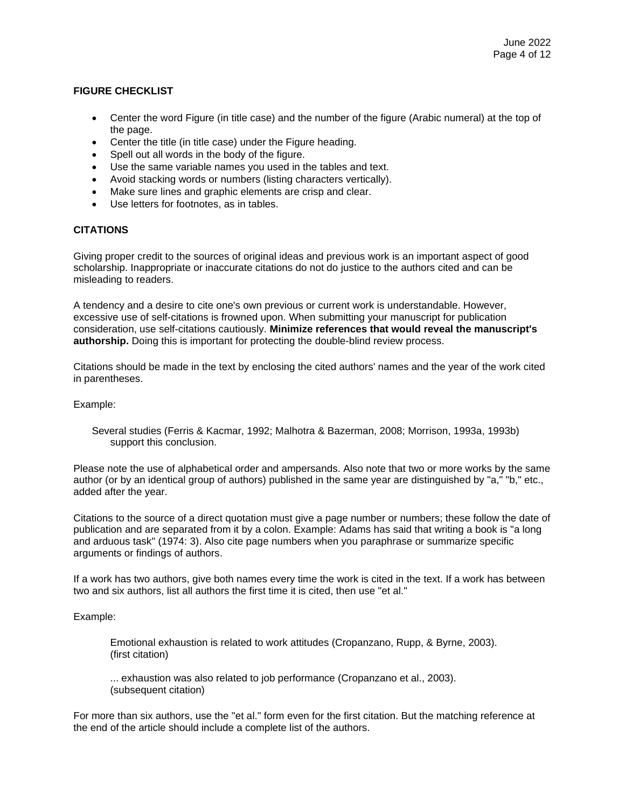## **FIGURE CHECKLIST**

- Center the word Figure (in title case) and the number of the figure (Arabic numeral) at the top of the page.
- Center the title (in title case) under the Figure heading.
- Spell out all words in the body of the figure.
- Use the same variable names you used in the tables and text.
- Avoid stacking words or numbers (listing characters vertically).
- Make sure lines and graphic elements are crisp and clear.
- Use letters for footnotes, as in tables.

## **CITATIONS**

Giving proper credit to the sources of original ideas and previous work is an important aspect of good scholarship. Inappropriate or inaccurate citations do not do justice to the authors cited and can be misleading to readers.

A tendency and a desire to cite one's own previous or current work is understandable. However, excessive use of self-citations is frowned upon. When submitting your manuscript for publication consideration, use self-citations cautiously. **Minimize references that would reveal the manuscript's authorship.** Doing this is important for protecting the double-blind review process.

Citations should be made in the text by enclosing the cited authors' names and the year of the work cited in parentheses.

Example:

Several studies (Ferris & Kacmar, 1992; Malhotra & Bazerman, 2008; Morrison, 1993a, 1993b) support this conclusion.

Please note the use of alphabetical order and ampersands. Also note that two or more works by the same author (or by an identical group of authors) published in the same year are distinguished by "a," "b," etc., added after the year.

Citations to the source of a direct quotation must give a page number or numbers; these follow the date of publication and are separated from it by a colon. Example: Adams has said that writing a book is "a long and arduous task" (1974: 3). Also cite page numbers when you paraphrase or summarize specific arguments or findings of authors.

If a work has two authors, give both names every time the work is cited in the text. If a work has between two and six authors, list all authors the first time it is cited, then use "et al."

### Example:

Emotional exhaustion is related to work attitudes (Cropanzano, Rupp, & Byrne, 2003). (first citation)

... exhaustion was also related to job performance (Cropanzano et al., 2003). (subsequent citation)

For more than six authors, use the "et al." form even for the first citation. But the matching reference at the end of the article should include a complete list of the authors.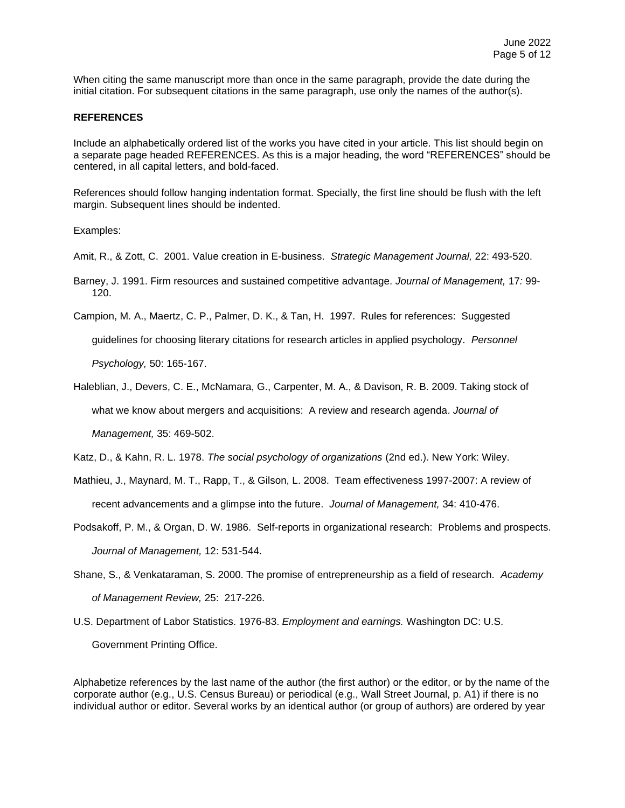When citing the same manuscript more than once in the same paragraph, provide the date during the initial citation. For subsequent citations in the same paragraph, use only the names of the author(s).

#### **REFERENCES**

Include an alphabetically ordered list of the works you have cited in your article. This list should begin on a separate page headed REFERENCES. As this is a major heading, the word "REFERENCES" should be centered, in all capital letters, and bold-faced.

References should follow hanging indentation format. Specially, the first line should be flush with the left margin. Subsequent lines should be indented.

Examples:

Amit, R., & Zott, C. 2001. Value creation in E-business. *Strategic Management Journal,* 22: 493-520.

Barney, J. 1991. Firm resources and sustained competitive advantage. *Journal of Management,* 17*:* 99- 120.

Campion, M. A., Maertz, C. P., Palmer, D. K., & Tan, H. 1997. Rules for references: Suggested

guidelines for choosing literary citations for research articles in applied psychology. *Personnel* 

*Psychology,* 50: 165-167.

Haleblian, J., Devers, C. E., McNamara, G., Carpenter, M. A., & Davison, R. B. 2009. Taking stock of what we know about mergers and acquisitions: A review and research agenda. *Journal of Management,* 35: 469-502.

Katz, D., & Kahn, R. L. 1978. *The social psychology of organizations* (2nd ed.). New York: Wiley.

- Mathieu, J., Maynard, M. T., Rapp, T., & Gilson, L. 2008. Team effectiveness 1997-2007: A review of recent advancements and a glimpse into the future. *Journal of Management,* 34: 410-476.
- Podsakoff, P. M., & Organ, D. W. 1986. Self-reports in organizational research: Problems and prospects. *Journal of Management,* 12: 531-544.
- Shane, S., & Venkataraman, S. 2000. The promise of entrepreneurship as a field of research. *Academy of Management Review,* 25: 217-226.
- U.S. Department of Labor Statistics. 1976-83. *Employment and earnings.* Washington DC: U.S. Government Printing Office.

Alphabetize references by the last name of the author (the first author) or the editor, or by the name of the corporate author (e.g., U.S. Census Bureau) or periodical (e.g., Wall Street Journal, p. A1) if there is no individual author or editor. Several works by an identical author (or group of authors) are ordered by year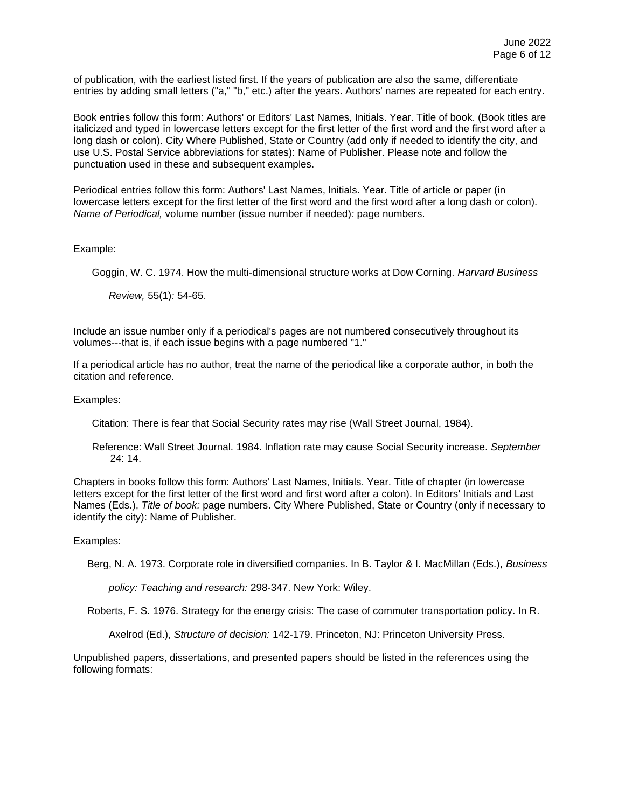of publication, with the earliest listed first. If the years of publication are also the same, differentiate entries by adding small letters ("a," "b," etc.) after the years. Authors' names are repeated for each entry.

Book entries follow this form: Authors' or Editors' Last Names, Initials. Year. Title of book. (Book titles are italicized and typed in lowercase letters except for the first letter of the first word and the first word after a long dash or colon). City Where Published, State or Country (add only if needed to identify the city, and use U.S. Postal Service abbreviations for states): Name of Publisher. Please note and follow the punctuation used in these and subsequent examples.

Periodical entries follow this form: Authors' Last Names, Initials. Year. Title of article or paper (in lowercase letters except for the first letter of the first word and the first word after a long dash or colon). *Name of Periodical,* volume number (issue number if needed)*:* page numbers.

#### Example:

Goggin, W. C. 1974. How the multi-dimensional structure works at Dow Corning. *Harvard Business* 

*Review,* 55(1)*:* 54-65.

Include an issue number only if a periodical's pages are not numbered consecutively throughout its volumes---that is, if each issue begins with a page numbered "1."

If a periodical article has no author, treat the name of the periodical like a corporate author, in both the citation and reference.

Examples:

Citation: There is fear that Social Security rates may rise (Wall Street Journal, 1984).

Reference: Wall Street Journal. 1984. Inflation rate may cause Social Security increase. *September*  24: 14.

Chapters in books follow this form: Authors' Last Names, Initials. Year. Title of chapter (in lowercase letters except for the first letter of the first word and first word after a colon). In Editors' Initials and Last Names (Eds.), *Title of book:* page numbers. City Where Published, State or Country (only if necessary to identify the city): Name of Publisher.

#### Examples:

Berg, N. A. 1973. Corporate role in diversified companies. In B. Taylor & I. MacMillan (Eds.), *Business* 

*policy: Teaching and research:* 298-347. New York: Wiley.

Roberts, F. S. 1976. Strategy for the energy crisis: The case of commuter transportation policy. In R.

Axelrod (Ed.), *Structure of decision:* 142-179. Princeton, NJ: Princeton University Press.

Unpublished papers, dissertations, and presented papers should be listed in the references using the following formats: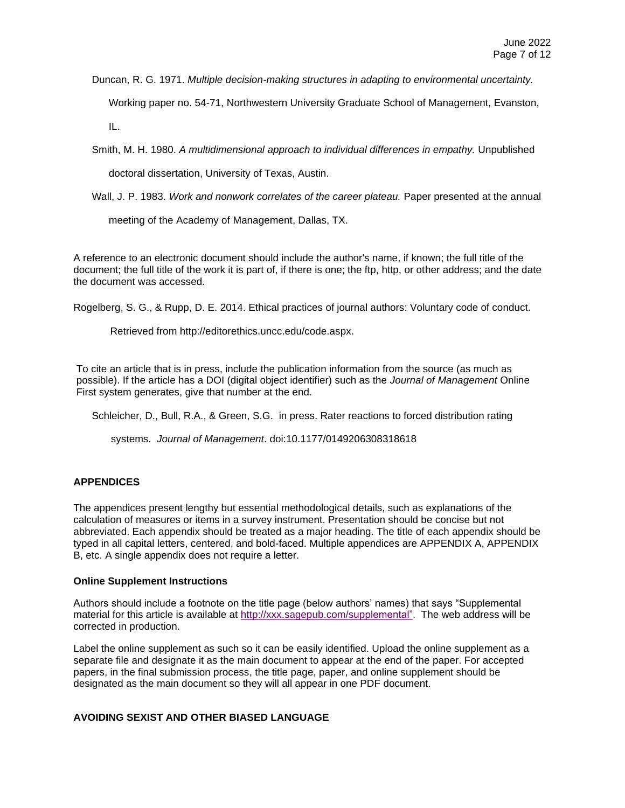Duncan, R. G. 1971. *Multiple decision-making structures in adapting to environmental uncertainty.*

Working paper no. 54-71, Northwestern University Graduate School of Management, Evanston,

IL.

Smith, M. H. 1980. *A multidimensional approach to individual differences in empathy.* Unpublished

doctoral dissertation, University of Texas, Austin.

Wall, J. P. 1983. *Work and nonwork correlates of the career plateau.* Paper presented at the annual

meeting of the Academy of Management, Dallas, TX.

A reference to an electronic document should include the author's name, if known; the full title of the document; the full title of the work it is part of, if there is one; the ftp, http, or other address; and the date the document was accessed.

Rogelberg, S. G., & Rupp, D. E. 2014. Ethical practices of journal authors: Voluntary code of conduct.

Retrieved from http://editorethics.uncc.edu/code.aspx.

To cite an article that is in press, include the publication information from the source (as much as possible). If the article has a DOI (digital object identifier) such as the *Journal of Management* Online First system generates, give that number at the end.

Schleicher, D., Bull, R.A., & Green, S.G. in press. Rater reactions to forced distribution rating

systems. *Journal of Management*. doi:10.1177/0149206308318618

## **APPENDICES**

The appendices present lengthy but essential methodological details, such as explanations of the calculation of measures or items in a survey instrument. Presentation should be concise but not abbreviated. Each appendix should be treated as a major heading. The title of each appendix should be typed in all capital letters, centered, and bold-faced. Multiple appendices are APPENDIX A, APPENDIX B, etc. A single appendix does not require a letter.

### **Online Supplement Instructions**

Authors should include a footnote on the title page (below authors' names) that says "Supplemental material for this article is available at [http://xxx.sagepub.com/supplemental".](http://xxx.sagepub.com/supplemental%3F) The web address will be corrected in production.

Label the online supplement as such so it can be easily identified. Upload the online supplement as a separate file and designate it as the main document to appear at the end of the paper. For accepted papers, in the final submission process, the title page, paper, and online supplement should be designated as the main document so they will all appear in one PDF document.

## **AVOIDING SEXIST AND OTHER BIASED LANGUAGE**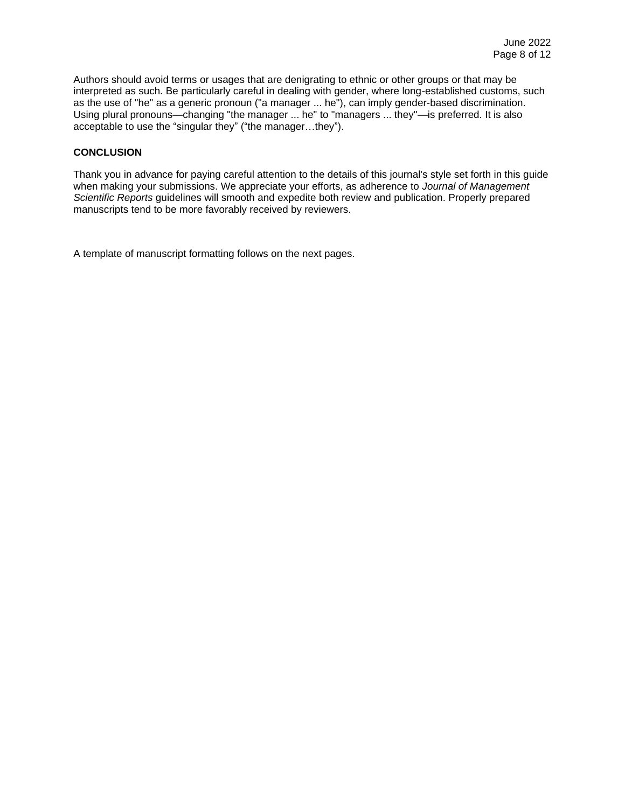Authors should avoid terms or usages that are denigrating to ethnic or other groups or that may be interpreted as such. Be particularly careful in dealing with gender, where long-established customs, such as the use of "he" as a generic pronoun ("a manager ... he"), can imply gender-based discrimination. Using plural pronouns—changing "the manager ... he" to "managers ... they"—is preferred. It is also acceptable to use the "singular they" ("the manager…they").

## **CONCLUSION**

Thank you in advance for paying careful attention to the details of this journal's style set forth in this guide when making your submissions. We appreciate your efforts, as adherence to *Journal of Management Scientific Reports* guidelines will smooth and expedite both review and publication. Properly prepared manuscripts tend to be more favorably received by reviewers.

A template of manuscript formatting follows on the next pages.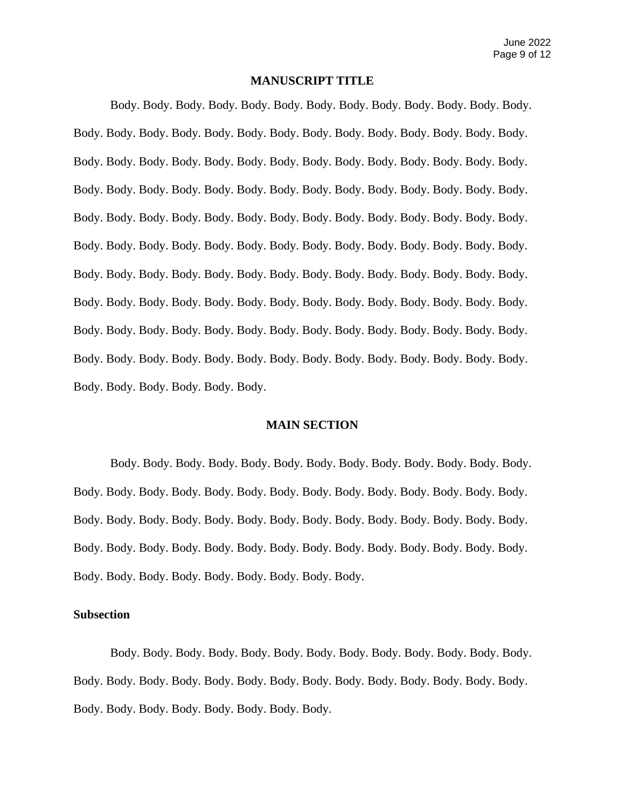## **MANUSCRIPT TITLE**

Body. Body. Body. Body. Body. Body. Body. Body. Body. Body. Body. Body. Body. Body. Body. Body. Body. Body. Body. Body. Body. Body. Body. Body. Body. Body. Body. Body. Body. Body. Body. Body. Body. Body. Body. Body. Body. Body. Body. Body. Body. Body. Body. Body. Body. Body. Body. Body. Body. Body. Body. Body. Body. Body. Body. Body. Body. Body. Body. Body. Body. Body. Body. Body. Body. Body. Body. Body. Body. Body. Body. Body. Body. Body. Body. Body. Body. Body. Body. Body. Body. Body. Body. Body. Body. Body. Body. Body. Body. Body. Body. Body. Body. Body. Body. Body. Body. Body. Body. Body. Body. Body. Body. Body. Body. Body. Body. Body. Body. Body. Body. Body. Body. Body. Body. Body. Body. Body. Body. Body. Body. Body. Body. Body. Body. Body. Body. Body. Body. Body. Body. Body. Body. Body. Body. Body. Body. Body. Body. Body. Body. Body. Body. Body. Body.

### **MAIN SECTION**

Body. Body. Body. Body. Body. Body. Body. Body. Body. Body. Body. Body. Body. Body. Body. Body. Body. Body. Body. Body. Body. Body. Body. Body. Body. Body. Body. Body. Body. Body. Body. Body. Body. Body. Body. Body. Body. Body. Body. Body. Body. Body. Body. Body. Body. Body. Body. Body. Body. Body. Body. Body. Body. Body. Body. Body. Body. Body. Body. Body. Body. Body. Body. Body.

## **Subsection**

Body. Body. Body. Body. Body. Body. Body. Body. Body. Body. Body. Body. Body. Body. Body. Body. Body. Body. Body. Body. Body. Body. Body. Body. Body. Body. Body. Body. Body. Body. Body. Body. Body. Body. Body.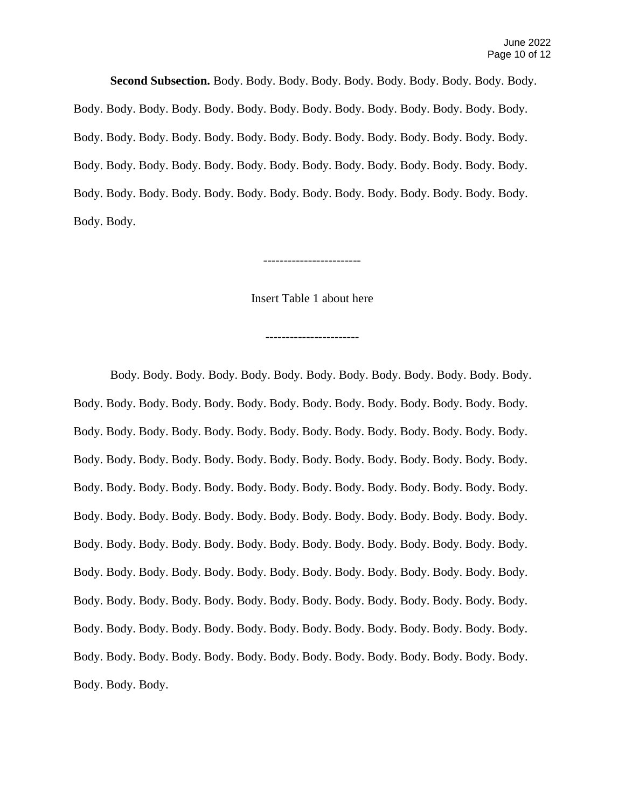**Second Subsection.** Body. Body. Body. Body. Body. Body. Body. Body. Body. Body. Body. Body. Body. Body. Body. Body. Body. Body. Body. Body. Body. Body. Body. Body. Body. Body. Body. Body. Body. Body. Body. Body. Body. Body. Body. Body. Body. Body. Body. Body. Body. Body. Body. Body. Body. Body. Body. Body. Body. Body. Body. Body. Body. Body. Body. Body. Body. Body. Body. Body. Body. Body. Body. Body. Body. Body. Body. Body.

------------------------

Insert Table 1 about here

-----------------------

Body. Body. Body. Body. Body. Body. Body. Body. Body. Body. Body. Body. Body. Body. Body. Body. Body. Body. Body. Body. Body. Body. Body. Body. Body. Body. Body. Body. Body. Body. Body. Body. Body. Body. Body. Body. Body. Body. Body. Body. Body. Body. Body. Body. Body. Body. Body. Body. Body. Body. Body. Body. Body. Body. Body. Body. Body. Body. Body. Body. Body. Body. Body. Body. Body. Body. Body. Body. Body. Body. Body. Body. Body. Body. Body. Body. Body. Body. Body. Body. Body. Body. Body. Body. Body. Body. Body. Body. Body. Body. Body. Body. Body. Body. Body. Body. Body. Body. Body. Body. Body. Body. Body. Body. Body. Body. Body. Body. Body. Body. Body. Body. Body. Body. Body. Body. Body. Body. Body. Body. Body. Body. Body. Body. Body. Body. Body. Body. Body. Body. Body. Body. Body. Body. Body. Body. Body. Body. Body. Body. Body. Body. Body. Body. Body. Body. Body. Body. Body. Body. Body. Body. Body. Body. Body. Body.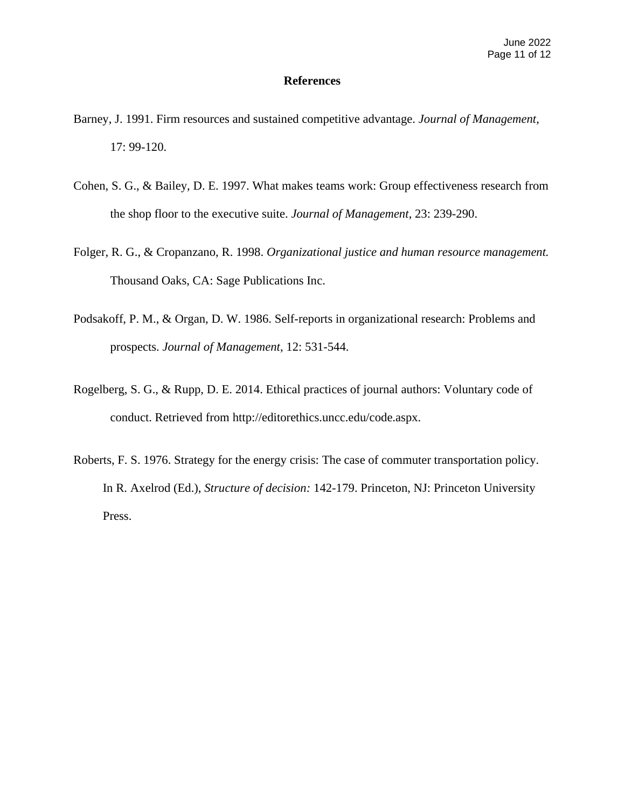### **References**

- Barney, J. 1991. Firm resources and sustained competitive advantage. *Journal of Management*, 17: 99-120.
- Cohen, S. G., & Bailey, D. E. 1997. What makes teams work: Group effectiveness research from the shop floor to the executive suite. *Journal of Management*, 23: 239-290.
- Folger, R. G., & Cropanzano, R. 1998. *Organizational justice and human resource management.*  Thousand Oaks, CA: Sage Publications Inc.
- Podsakoff, P. M., & Organ, D. W. 1986. Self-reports in organizational research: Problems and prospects. *Journal of Management*, 12: 531-544.
- Rogelberg, S. G., & Rupp, D. E. 2014. Ethical practices of journal authors: Voluntary code of conduct. Retrieved from http://editorethics.uncc.edu/code.aspx.
- Roberts, F. S. 1976. Strategy for the energy crisis: The case of commuter transportation policy. In R. Axelrod (Ed.), *Structure of decision:* 142-179. Princeton, NJ: Princeton University Press.